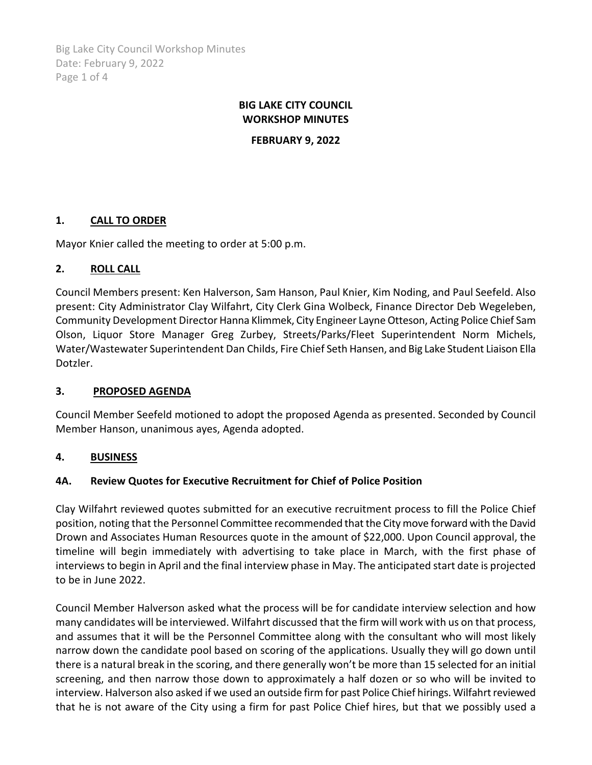Big Lake City Council Workshop Minutes Date: February 9, 2022 Page 1 of 4

# **BIG LAKE CITY COUNCIL WORKSHOP MINUTES**

**FEBRUARY 9, 2022**

# **1. CALL TO ORDER**

Mayor Knier called the meeting to order at 5:00 p.m.

### **2. ROLL CALL**

Council Members present: Ken Halverson, Sam Hanson, Paul Knier, Kim Noding, and Paul Seefeld. Also present: City Administrator Clay Wilfahrt, City Clerk Gina Wolbeck, Finance Director Deb Wegeleben, Community Development Director Hanna Klimmek, City Engineer Layne Otteson, Acting Police Chief Sam Olson, Liquor Store Manager Greg Zurbey, Streets/Parks/Fleet Superintendent Norm Michels, Water/Wastewater Superintendent Dan Childs, Fire Chief Seth Hansen, and Big Lake Student Liaison Ella Dotzler.

#### **3. PROPOSED AGENDA**

Council Member Seefeld motioned to adopt the proposed Agenda as presented. Seconded by Council Member Hanson, unanimous ayes, Agenda adopted.

#### **4. BUSINESS**

# **4A. Review Quotes for Executive Recruitment for Chief of Police Position**

Clay Wilfahrt reviewed quotes submitted for an executive recruitment process to fill the Police Chief position, noting that the Personnel Committee recommended that the City move forward with the David Drown and Associates Human Resources quote in the amount of \$22,000. Upon Council approval, the timeline will begin immediately with advertising to take place in March, with the first phase of interviews to begin in April and the final interview phase in May. The anticipated start date is projected to be in June 2022.

Council Member Halverson asked what the process will be for candidate interview selection and how many candidates will be interviewed. Wilfahrt discussed that the firm will work with us on that process, and assumes that it will be the Personnel Committee along with the consultant who will most likely narrow down the candidate pool based on scoring of the applications. Usually they will go down until there is a natural break in the scoring, and there generally won't be more than 15 selected for an initial screening, and then narrow those down to approximately a half dozen or so who will be invited to interview. Halverson also asked if we used an outside firm for past Police Chief hirings. Wilfahrt reviewed that he is not aware of the City using a firm for past Police Chief hires, but that we possibly used a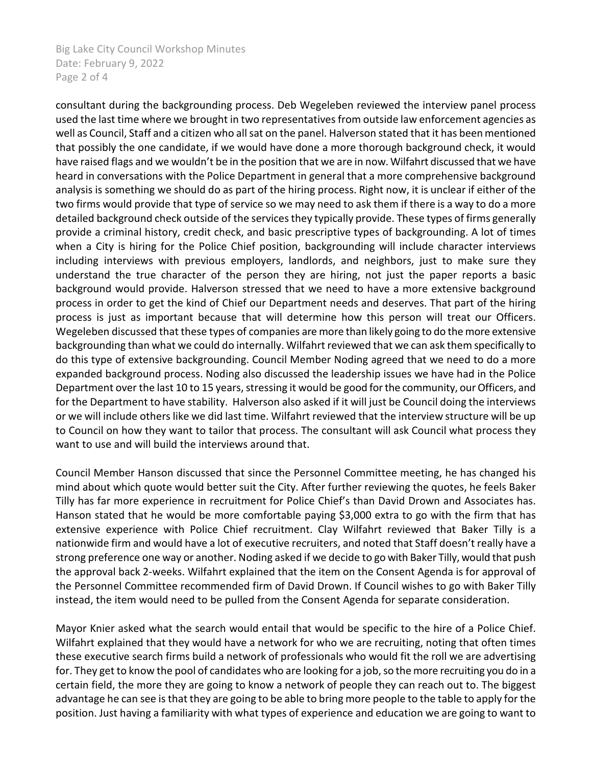Big Lake City Council Workshop Minutes Date: February 9, 2022 Page 2 of 4

consultant during the backgrounding process. Deb Wegeleben reviewed the interview panel process used the last time where we brought in two representatives from outside law enforcement agencies as well as Council, Staff and a citizen who all sat on the panel. Halverson stated that it has been mentioned that possibly the one candidate, if we would have done a more thorough background check, it would have raised flags and we wouldn't be in the position that we are in now. Wilfahrt discussed that we have heard in conversations with the Police Department in general that a more comprehensive background analysis is something we should do as part of the hiring process. Right now, it is unclear if either of the two firms would provide that type of service so we may need to ask them if there is a way to do a more detailed background check outside of the services they typically provide. These types of firms generally provide a criminal history, credit check, and basic prescriptive types of backgrounding. A lot of times when a City is hiring for the Police Chief position, backgrounding will include character interviews including interviews with previous employers, landlords, and neighbors, just to make sure they understand the true character of the person they are hiring, not just the paper reports a basic background would provide. Halverson stressed that we need to have a more extensive background process in order to get the kind of Chief our Department needs and deserves. That part of the hiring process is just as important because that will determine how this person will treat our Officers. Wegeleben discussed that these types of companies are more than likely going to do the more extensive backgrounding than what we could do internally. Wilfahrt reviewed that we can ask them specifically to do this type of extensive backgrounding. Council Member Noding agreed that we need to do a more expanded background process. Noding also discussed the leadership issues we have had in the Police Department over the last 10 to 15 years, stressing it would be good for the community, our Officers, and for the Department to have stability. Halverson also asked if it will just be Council doing the interviews or we will include others like we did last time. Wilfahrt reviewed that the interview structure will be up to Council on how they want to tailor that process. The consultant will ask Council what process they want to use and will build the interviews around that.

Council Member Hanson discussed that since the Personnel Committee meeting, he has changed his mind about which quote would better suit the City. After further reviewing the quotes, he feels Baker Tilly has far more experience in recruitment for Police Chief's than David Drown and Associates has. Hanson stated that he would be more comfortable paying \$3,000 extra to go with the firm that has extensive experience with Police Chief recruitment. Clay Wilfahrt reviewed that Baker Tilly is a nationwide firm and would have a lot of executive recruiters, and noted that Staff doesn't really have a strong preference one way or another. Noding asked if we decide to go with Baker Tilly, would that push the approval back 2-weeks. Wilfahrt explained that the item on the Consent Agenda is for approval of the Personnel Committee recommended firm of David Drown. If Council wishes to go with Baker Tilly instead, the item would need to be pulled from the Consent Agenda for separate consideration.

Mayor Knier asked what the search would entail that would be specific to the hire of a Police Chief. Wilfahrt explained that they would have a network for who we are recruiting, noting that often times these executive search firms build a network of professionals who would fit the roll we are advertising for. They get to know the pool of candidates who are looking for a job, so the more recruiting you do in a certain field, the more they are going to know a network of people they can reach out to. The biggest advantage he can see is that they are going to be able to bring more people to the table to apply for the position. Just having a familiarity with what types of experience and education we are going to want to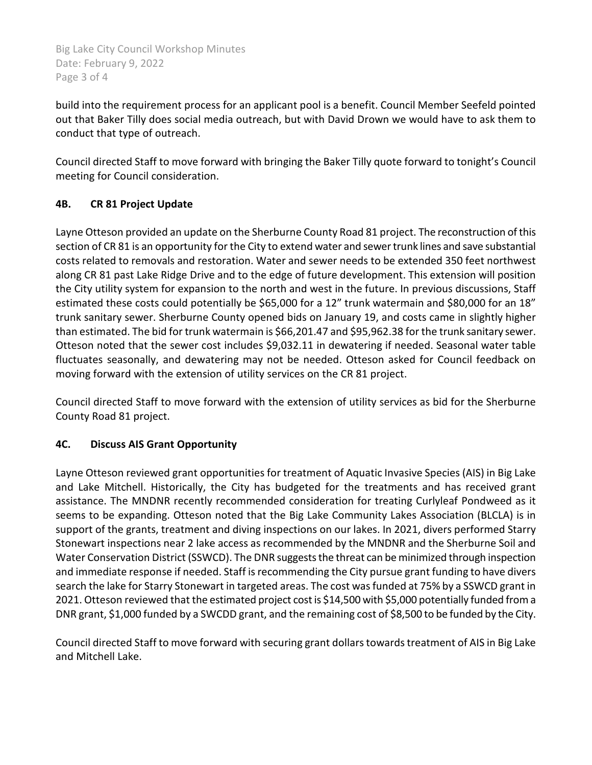Big Lake City Council Workshop Minutes Date: February 9, 2022 Page 3 of 4

build into the requirement process for an applicant pool is a benefit. Council Member Seefeld pointed out that Baker Tilly does social media outreach, but with David Drown we would have to ask them to conduct that type of outreach.

Council directed Staff to move forward with bringing the Baker Tilly quote forward to tonight's Council meeting for Council consideration.

# **4B. CR 81 Project Update**

Layne Otteson provided an update on the Sherburne County Road 81 project. The reconstruction of this section of CR 81 is an opportunity for the City to extend water and sewer trunk lines and save substantial costs related to removals and restoration. Water and sewer needs to be extended 350 feet northwest along CR 81 past Lake Ridge Drive and to the edge of future development. This extension will position the City utility system for expansion to the north and west in the future. In previous discussions, Staff estimated these costs could potentially be \$65,000 for a 12" trunk watermain and \$80,000 for an 18" trunk sanitary sewer. Sherburne County opened bids on January 19, and costs came in slightly higher than estimated. The bid for trunk watermain is \$66,201.47 and \$95,962.38 for the trunk sanitary sewer. Otteson noted that the sewer cost includes \$9,032.11 in dewatering if needed. Seasonal water table fluctuates seasonally, and dewatering may not be needed. Otteson asked for Council feedback on moving forward with the extension of utility services on the CR 81 project.

Council directed Staff to move forward with the extension of utility services as bid for the Sherburne County Road 81 project.

# **4C. Discuss AIS Grant Opportunity**

Layne Otteson reviewed grant opportunities for treatment of Aquatic Invasive Species (AIS) in Big Lake and Lake Mitchell. Historically, the City has budgeted for the treatments and has received grant assistance. The MNDNR recently recommended consideration for treating Curlyleaf Pondweed as it seems to be expanding. Otteson noted that the Big Lake Community Lakes Association (BLCLA) is in support of the grants, treatment and diving inspections on our lakes. In 2021, divers performed Starry Stonewart inspections near 2 lake access as recommended by the MNDNR and the Sherburne Soil and Water Conservation District (SSWCD). The DNR suggests the threat can be minimized through inspection and immediate response if needed. Staff is recommending the City pursue grant funding to have divers search the lake for Starry Stonewart in targeted areas. The cost wasfunded at 75% by a SSWCD grant in 2021. Otteson reviewed that the estimated project cost is \$14,500 with \$5,000 potentially funded from a DNR grant, \$1,000 funded by a SWCDD grant, and the remaining cost of \$8,500 to be funded by the City.

Council directed Staff to move forward with securing grant dollars towards treatment of AIS in Big Lake and Mitchell Lake.